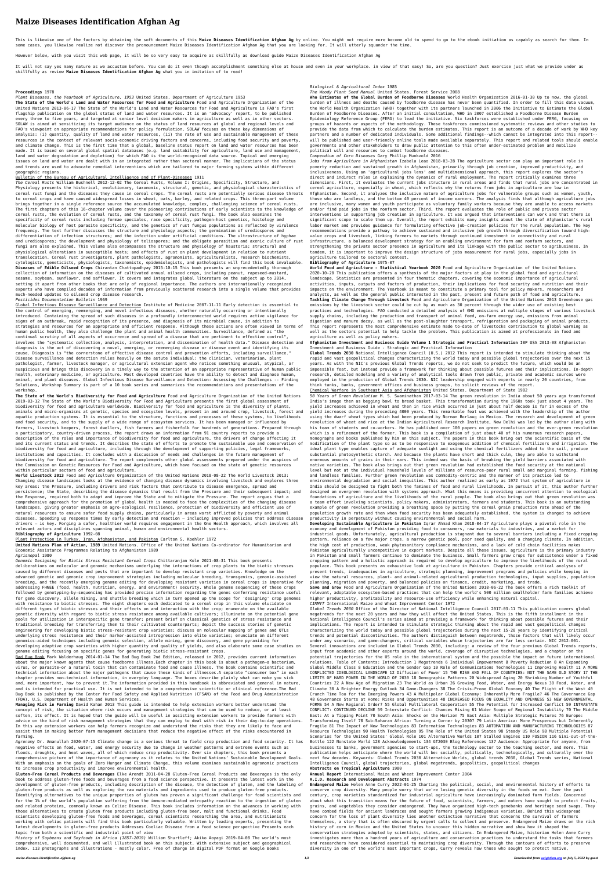# **Maize Diseases Identification Afghan Ag**

This is likewise one of the factors by obtaining the soft documents of this Maize Diseases Identification Afghan Ag by online. You might not require more become old to spend to go to the ebook initiation as capably as sear some cases, you likewise realize not discover the pronouncement Maize Diseases Identification Afghan Ag that you are looking for. It will utterly squander the time.

It will not say yes many mature as we accustom before. You can do it even though accomplishment something else at house and even in your workplace. in view of that easy! So, are you question? Just exercise just what we pro skillfully as review **Maize Diseases Identification Afghan Ag** what you in imitation of to read!

However below, with you visit this web page, it will be so very easy to acquire as skillfully as download guide Maize Diseases Identification Afghan Ag

## **Proceedings** 1978

*Plant Diseases, the Yearbook of Agriculture, 1953* United States. Department of Agriculture 1953

**The State of the World's Land and Water Resources for Food and Agriculture** Food and Agriculture Organization of the United Nations 2013-06-17 The State of the World's Land and Water Resources for Food and Agriculture is FAO's first flagship publication on the global status of land and water resources. It is an 'advocacy' report, to be published every three to five years, and targeted at senior level decision makers in agriculture as well as in other sectors. SOLAW is aimed at sensitizing its target audience on the status of land resources at global and regional levels and FAO's viewpoint on appropriate recommendations for policy formulation. SOLAW focuses on these key dimensions of analysis: (i) quantity, quality of land and water resources, (ii) the rate of use and sustainable management of these resources in the context of relevant socio-economic driving factors and concerns, including food security and poverty, and climate change. This is the first time that a global, baseline status report on land and water resources has been made. It is based on several global spatial databases (e.g. land suitability for agriculture, land use and management, land and water degradation and depletion) for which FAO is the world-recognized data source. Topical and emerging issues on land and water are dealt with in an integrated rather than sectoral manner. The implications of the status and trends are used to advocate remedial interventions which are tailored to major farming systems within different geographic regions.

## Bulletin of the Bureau of Agricultural Intelligence and of Plant-Diseases 1911

*The Cereal Rusts* William Bushnell 2012-12-02 The Cereal Rusts, Volume I: Origins, Specificity, Structure, and Physiology presents the historical, evolutionary, taxonomic, structural, genetic, and physiological characteristics of cereal rust fungi and the diseases they cause in cereal crops. The cereal rusts are potentially serious disease threats to cereal crops and have caused widespread losses in wheat, oats, barley, and related crops. This three-part volume brings together in a single reference source the accumulated knowledge, complex, challenging science of cereal rusts. The first chapters of this 16-chapter volume cover the pioneering contributions of early scientists to the knowledge of cereal rusts, the evolution of cereal rusts, and the taxonomy of cereal rust fungi. The book also examines the specificity of cereal rusts including formae speciales, race specificity, pathogen-host genetics, histology and molecular biology of host parasite specificity, and the genetics of rust fungus populations as reflected by virulence frequency. The text further discusses the structure and physiology aspects; the germination of urediospores and differentiation of infection structures; and the infection under artificial conditions. The ultrastructure of hyphae and urediospores; the development and physiology of teliospores; and the obligate parasitism and axenic culture of rust fungi are also explained. This volume also encompasses the structure and physiology of haustoria; structural and physiological alterations in susceptible hosts; and effects of rust on plant development in relation to nutrient translocation. Cereal rust investigators, plant pathologists, agronomists, agriculturalists, research biochemists, cytologists, geneticists, physiologists, taxonomists, epidemiologists, and pathologists will find this book invaluable. **Diseases of Edible Oilseed Crops** Chirantan Chattopadhyay 2015-10-15 This book presents an unprecedentedly thorough collection of information on the diseases of cultivated annual oilseed crops, including peanut, rapeseed-mustard, sesame, soybean, sunflower, and safflower. It covers and integrates global literature on the subject up to 2014, setting it apart from other books that are only of regional importance. The authors are internationally recognized experts who have compiled decades of information from previously scattered research into a single volume that provides much-needed updates to oilseed crop disease research.

## *Pesticides Documentation Bulletin* 1969

Global Infectious Disease Surveillance and Detection Institute of Medicine 2007-11-11 Early detection is essential to the control of emerging, reemerging, and novel infectious diseases, whether naturally occurring or intentionally introduced. Containing the spread of such diseases in a profoundly interconnected world requires active vigilance for signs of an outbreak, rapid recognition of its presence, and diagnosis of its microbial cause, in addition to strategies and resources for an appropriate and efficient response. Although these actions are often viewed in terms of human public health, they also challenge the plant and animal health communities. Surveillance, defined as "the continual scrutiny of all aspects of occurrence and spread of a disease that are pertinent to effective control", involves the "systematic collection, analysis, interpretation, and dissemination of health data." Disease detection and diagnosis is the act of discovering a novel, emerging, or reemerging disease or disease event and identifying its cause. Diagnosis is "the cornerstone of effective disease control and prevention efforts, including surveillance." Disease surveillance and detection relies heavily on the astute individual: the clinician, veterinarian, plant pathologist, farmer, livestock manager, or agricultural extension agent who notices something unusual, atypical, or suspicious and brings this discovery in a timely way to the attention of an appropriate representative of human public health, veterinary medicine, or agriculture. Most developed countries have the ability to detect and diagnose human, animal, and plant diseases. Global Infectious Disease Surveillance and Detection: Assessing the Challenges -- Finding Solutions, Workshop Summary is part of a 10 book series and summarizes the recommendations and presentations of the workshop. **The State of the World's Biodiversity for Food and Agriculture** Food and Agriculture Organization of the United Nations 2019-03-12 The State of the World's Biodiversity for Food and Agriculture presents the first global assessment of biodiversity for food and agriculture worldwide. Biodiversity for food and agriculture is the diversity of plants, animals and micro-organisms at genetic, species and ecosystem levels, present in and around crop, livestock, forest and aquatic production systems. It is essential to the structure, functions and processes of these systems, to livelihoods and food security, and to the supply of a wide range of ecosystem services. It has been managed or influenced by farmers, livestock keepers, forest dwellers, fish farmers and fisherfolk for hundreds of generations. Prepared through a participatory, country-driven process, the report draws on information from 91 country reports to provide a description of the roles and importance of biodiversity for food and agriculture, the drivers of change affecting it and its current status and trends. It describes the state of efforts to promote the sustainable use and conservation of biodiversity for food and agriculture, including through the development of supporting policies, legal frameworks, institutions and capacities. It concludes with a discussion of needs and challenges in the future management of biodiversity for food and agriculture. The report complements other global assessments prepared under the auspices of the Commission on Genetic Resources for Food and Agriculture, which have focused on the state of genetic resources within particular sectors of food and agriculture. **World Livestock 2013** Food and Agriculture Organization of the United Nations 2018-08-22 The World Livestock 2013: Changing disease landscapes looks at the evidence of changing disease dynamics involving livestock and explores three key areas: the Pressure, including drivers and risk factors that contribute to disease emergence, spread and persistence; the State, describing the disease dynamics that result from the Pressure and their subsequent impact; and the Response, required both to adapt and improve the State and to mitigate the Pressure. The report argues that a comprehensive approach for the promotion of global health is needed to face the complexities of the changing disease landscapes, giving greater emphasis on agro-ecological resilience, protection of biodiversity and efficient use of natural resources to ensure safer food supply chains, particularly in areas worst afflicted by poverty and animal diseases. Speeding up response times by early detection and reaction – including improved policies that address disease drivers – is key. Forging a safer, healthier world requires engagement in the One Health approach, which involves all relevant actors and disciplines spanning animal, human and environmental health sectors.

#### **Bibliography of Agriculture** 1992-08

#### Plant Protection in Turkey, Iran, Afghanistan, and Pakistan Carlton S. Koehler 1972

**United Nations Plan of Action, 1989** United Nations. Office of the United Nations Co-ordinator for Humanitarian and Economic Assistance Programmes Relating to Afghanistan 1989

#### *Agrisnepal* 1980

*Genomic Designing for Biotic Stress Resistant Cereal Crops* Chittaranjan Kole 2021-08-31 This book presents deliberations on molecular and genomic mechanisms underlying the interactions of crop plants to the biotic stresses caused by different diseases and pests that are important to develop resistant crop varieties. Knowledge on the advanced genetic and genomic crop improvement strategies including molecular breeding, transgenics, genomic-assisted breeding, and the recently emerging genome editing for developing resistant varieties in cereal crops is imperative for addressing FHNEE (food, health, nutrition, energy, and environment) security. Whole genome sequencing of these crops followed by genotyping-by-sequencing has provided precise information regarding the genes conferring resistance useful for gene discovery, allele mining, and shuttle breeding which in turn opened up the scope for 'designing' crop genomes with resistance to biotic stresses. The eight chapters each dedicated to a cereal crop in this volume elucidate on different types of biotic stresses and their effects on and interaction with the crop; enumerate on the available genetic diversity with regard to biotic stress resistance among available cultivars; illuminate on the potential gene pools for utilization in interspecific gene transfer; present brief on classical genetics of stress resistance and traditional breeding for transferring them to their cultivated counterparts; depict the success stories of genetic engineering for developing biotic stress-resistant crop varieties; discuss on molecular mapping of genes and QTLs underlying stress resistance and their marker-assisted introgression into elite varieties; enunciate on different genomics-aided techniques including genomic selection, allele mining, gene discovery, and gene pyramiding for developing adaptive crop varieties with higher quantity and quality of yields, and also elaborate some case studies on genome editing focusing on specific genes for generating biotic stress-resistant crops.

Bad Bug Book Mark Walderhaug 2014-01-14 The Bad Bug Book 2nd Edition, released in 2012, provides current information about the major known agents that cause foodborne illness.Each chapter in this book is about a pathogen—a bacterium, virus, or parasite—or a natural toxin that can contaminate food and cause illness. The book contains scientific and technical information about the major pathogens that cause these kinds of illnesses.A separate "consumer box" in each chapter provides non-technical information, in everyday language. The boxes describe plainly what can make you sick and, more important, how to prevent it.The information provided in this handbook is abbreviated and general in nature, and is intended for practical use. It is not intended to be a comprehensive scientific or clinical reference.The Bad Bug Book is published by the Center for Food Safety and Applied Nutrition (CFSAN) of the Food and Drug Administration (FDA), U.S. Department of Health and Human Services. **Managing Risk in Farming** David Kahan 2013 This guide is intended to help extension workers better understand the concept of risk, the situation where risk occurs and management strategies that can be used to reduce, or at least soften, its effect. It is hoped that the guide will be useful in assisting extension workers to provide farmers with advice on the kind of risk management strategies that they can employ to deal with risk in their day-to-day operations. In this way extension workers can help farmers recognize and understand the risks that they are likely to face and assist them in making better farm management decisions that reduce the negative effect of the risks encountered in farming.

*Agronomy* Dr. Amanullah 2020-07-15 Climate change is a serious threat to field crop production and food security. It has negative effects on food, water, and energy security due to change in weather patterns and extreme events such as floods, droughts, and heat waves, all of which reduce crop productivity. Over six chapters, this book presents a comprehensive picture of the importance of agronomy as it relates to the United Nations' Sustainable Development Goals. With an emphasis on the goals of Zero Hunger and Climate Change, this volume examines sustainable agronomic practices to increase crop productivity and improve environmental health.

**Gluten-Free Cereal Products and Beverages** Elke Arendt 2011-04-28 Gluten-Free Cereal Products and Beverages is the only book to address gluten-free foods and beverages from a food science perspective. It presents the latest work in the development of gluten-free products, including description of the disease, the detection of gluten, and the labeling of gluten-free products as well as exploring the raw materials and ingredients used to produce gluten-free products. Identifying alternatives to the unique properties of gluten has proven a significant challenge for food scientists and for the 1% of the world's population suffering from the immune-mediated entropathy reaction to the ingestion of gluten and related proteins, commonly known as Celiac Disease. This book includes information on the advances in working with those alternatives to create gluten free products including gluten-free beer, malt and functional drinks. Food scientists developing gluten-free foods and beverages, cereal scientists researching the area, and nutritionists working with celiac patients will find this book particularly valuable. Written by leading experts, presenting the latest developments in gluten-free products Addresses Coeliac Disease from a food science perspective Presents each topic from both a scientific and industrial point of view

*History of Soybeans and Soyfoods in Africa (1857-2019)* William Shurtleff; Akiko Aoyagi 2019-04-08 The world's most comprehensive, well documented, and well illustrated book on this subject. With extensive subject and geographical index. 113 photographs and illustrations - mostly color. Free of charge in digital PDF format on Google Books

## *Biological & Agricultural Index* 1985

*The Woody Plant Seed Manual* United States. Forest Service 2008

**Who Estimates of the Global Burden of Foodborne Diseases** World Health Organization 2016-01-30 Up to now, the global burden of illness and deaths caused by foodborne disease has never been quantified. In order to fill this data vacuum, the World Health Organization (WHO) together with its partners launched in 2006 the Initiative to Estimate the Global Burden of Foodborne Diseases. After an initial consultation, WHO in 2007 established a Foodborne Disease Burden Epidemiology Reference Group (FERG) to lead the initiative. Six taskforces were established under FERG, focusing on groups of hazards or aspects of the methodology. These taskforces commissioned systematic reviews and other studies to provide the data from which to calculate the burden estimates. This report is an outcome of a decade of work by WHO key partners and a number of dedicated individuals. Some additional findings--which cannot be integrated into this report- will be published and user-friendly online tools made available separately. This report and related tools should enable governments and other stakeholders to draw public attention to this often under-estimated problem and mobilize political will and resources to combat foodborne diseases.

*Compendium of Corn Diseases* Gary Phillip Munkvold 2016

*Jobs from Agriculture in Afghanistan* Izabela Leao 2018-03-28 The agriculture sector can play an important role in poverty reduction and sustained growth in Afghanistan, primarily through job creation, improved productivity, and inclusiveness. Using an 'agricultural jobs lens' and multidimensional approach, this report explores the sector's direct and indirect roles in explaining the dynamics of rural employment. The report critically examines three dimensions. First, it evaluates the current jobs structure in rural areas and finds that rural jobs are concentrated in cereal agriculture, especially in wheat, which reflects why the returns from jobs in agriculture are low in Afghanistan. Second, it analyzes the inclusive nature of agriculture jobs for vulnerable groups such as women, youth, those who are landless, and the bottom 40 percent of income earners. The analysis finds that although agriculture jobs are inclusive, many women and youth participate as voluntary family workers because they are unable to access markets and/or find paid jobs in the nonfarm sector. Third, the report evaluates the role of public and private sector interventions in supporting job creation in agriculture. It was argued that interventions can work and that there is significant scope to scale them up. Overall, the report exhibits many insights about the state of Afghanistan's rural labor market and provides guidance for formulating effective job-creation policies for the rural population. The key recommendations provide a pathway to achieve sustained and inclusive job growth through diversification toward highvalue crops and livestock, linking farmers to markets through continued investment in connectivity and rural infrastructure, a balanced development strategy for an enabling environment for farm and nonfarm sectors, and strengthening the private sector presence in agriculture and its linkage with the public sector to agribusiness. In tandem, it is important to improve the design structure of jobs measurement for rural jobs, especially jobs in agriculture tailored to sectoral context.

## **Bibliography of Agriculture** 1975-07

**World Food and Agriculture - Statistical Yearbook 2020** Food and Agriculture Organization of the United Nations 2020-10-20 This publication offers a synthesis of the major factors at play in the global food and agricultural landscape. Statistics are presented in four thematic chapters, covering the economic importance of agricultural activities, inputs, outputs and factors of production, their implications for food security and nutrition and their impacts on the environment. The Yearbook is meant to constitute a primary tool for policy makers, researchers and analysts, as well as the general public interested in the past, present and future path of food and agriculture. **Tackling Climate Change Through Livestock** Food and Agriculture Organization of the United Nations 2013 Greenhouse gas emissions by the livestock sector could be cut by as much as 30 percent through the wider use of existing best practices and technologies. FAO conducted a detailed analysis of GHG emissions at multiple stages of various livestock supply chains, including the production and transport of animal feed, on-farm energy use, emissions from animal digestion and manure decay, as well as the post-slaughter transport, refrigeration and packaging of animal products. This report represents the most comprehensive estimate made to-date of livestocks contribution to global warming as well as the sectors potential to help tackle the problem. This publication is aimed at professionals in food and agriculture as well as policy makers.

## **Afghanistan Investment and Business Guide Volume 1 Strategic and Practical Information** IBP USA 2013-08 Afghanistan Investment and Business Guide - Strategic and Practical Information

**Global Trends 2030** National Intelligence Council (U.S.) 2012 This report is intended to stimulate thinking about the rapid and vast geopolitical changes characterizing the world today and possible global trajectories over the next 15 years. As with the NIC's previous Global Trends reports, we do not seek to predict the future, which would be an impossible feat, but instead provide a framework for thinking about possible futures and their implications. In-depth research, detailed modeling and a variety of analytical tools drawn from public, private and academic sources were employed in the production of Global Trends 2030. NIC leadership engaged with experts in nearly 20 countries, from think tanks, banks, government offices and business groups, to solicit reviews of the report.

Chemical Warfare in Southeast Asia and Afghanistan United States. Department of State 1982

*50 Years of Green Revolution* M. S. Swaminathan 2017-03-14 The green revolution in India about 50 years ago transformed India's image then as begging bowl to bread basket. This transformation during the 1960s took just about 4 years. The yield increases achieved in wheat and then in rice which occurred in just about half decade is far in excess of the yield increases during the preceding 4000 years. This remarkable feat was achieved with the leadership of the author using the dwarf wheat types which had been produced by Norman Borlaug in Mexico. The research and development of green revolution of wheat and rice at the Indian Agricultural Research Institute, New Delhi was led by the author along with his team of students and co-workers. He has published over 100 papers on green revolution and the ever-green revolution which is a refinement of the former. This book is a compilation of just about 40 of his numerous research papers, monographs and books published by him on this subject. The papers in this book bring out the scientific basis of the modification of the plant type so as to be responsive to exogenous addition of chemical fertilizers and irrigation. The ideal plant type enables capture of adequate sunlight and using the chemical fertilizers added to the soil, produce substantial photosynthetic starch. And because the plants have short and thick culm, they are able to withstand enormous amounts of grains in their ears. This indeed was the basis of breaking the yield barriers associated with native varieties. The book also brings out that green revolution had established the food security at the national level but not at the individual household levels of millions of resource-poor rural small and marginal farming, fishing and landless families. Further green revolution was commodity-centric and the manner of its practice led to environmental degradation and social inequities. This author realized as early as 1972 that system of agriculture in India should be designed to fight both the famines of food and rural livelihoods. In pursuit of it, this author further designed an evergreen revolution with systems approach. What this means is providing concurrent attention to ecological foundations of agriculture and the livelihoods of the rural people. The book also brings out that green revolution was a team effort involving scientists, policy makers, administrators, farmers and students. This book is an outstanding example of green revolution providing a breathing space by putting the cereal grain production rate ahead of the population growth rate and then when food security has been adequately established, the system is changed to achieve productivity in perpetuity without causing environmental and social harm.

**Developing Sustainable Agriculture in Pakistan** Iqrar Ahmad Khan 2018-04-17 Agriculture plays a pivotal role in the economy and development of Pakistan providing food to consumers, raw materials to industries, and a market for industrial goods. Unfortunately, agricultural production is stagnant due to several barriers including a fixed cropping pattern, reliance on a few major crops, a narrow genetic pool, poor seed quality, and a changing climate. In addition, the high cost of production, weak phytosanitary compliance mechanisms, and a lack of cold chain facilities makes Pakistan agriculturally uncompetitive in export markets. Despite all these issues, agriculture is the primary industry in Pakistan and small farmers continue to dominate the business. Small farmers grow crops for subsistence under a fixed cropping pattern and a holistic approach is required to develop agriculture to improve the livelihoods of the rural populace. This book presents an exhaustive look at agriculture in Pakistan. Chapters provide critical analyses of present trends, inadequacies in agriculture, strategic planning, improvement programs and policies while keeping in view the natural resources, plant- and animal-related agricultural production technologies, input supplies, population planning, migration and poverty, and balanced policies on finance, credit, marketing, and trade. **Save and Grow** Food and Agriculture Organization of the United Nations 2018-06-22 The book offers a rich toolkit of relevant, adoptable ecosystem-based practices that can help the world's 500 million smallholder farm families achieve

higher productivity, profitability and resource-use efficiency while enhancing natural capital.

## *CIMMYT* International Maize and Wheat Improvement Center 1972

*Global Trends 2030* Office of the Director of National Intelligence Council 2017-03-11 This publication covers global megatrends for the next 20 years and how they will affect the United States. This is the fifth installment in the National Intelligence Council's series aimed at providing a framework for thinking about possible futures and their implications. The report is intended to stimulate strategic thinking about the rapid and vast geopolitical changes characterizing the world today and possible global trajectories during the next 15-20 years by identifying critical trends and potential discontinuities. The authors distinguish between megatrends, those factors that will likely occur under any scenario, and game-changers, critical variables whose trajectories are far less certain. NIC 2012-001. Several innovations are included in Global Trends 2030, including: a review of the four previous Global Trends reports, input from academic and other experts around the world, coverage of disruptive technologies, and a chapter on the potential trajectories for the US role in the international system and the possible the impact on future international relations. Table of Contents: Introduction 1 Megatrends 6 Individual Empowerment 8 Poverty Reduction 8 An Expanding Global Middle Class 8 Education and the Gender Gap 10 Role of Communications Technologies 11 Improving Health 11 A MORE CONFLICTED IDEOLOGICAL LANDSCAPE 12 Diffusion of Power 15 THE RISE AND FALL OF COUNTRIES: NOT THE SAME OLD STORY 17 THE LIMITS OF HARD POWER IN THE WORLD OF 2030 18 Demographic Patterns 20 Widespread Aging 20 Shrinking Number of Youthful Countries 22 A New Age of Migration 23 The World as Urban 26 Growing Food, Water, and Energy Nexus 30 Food, Water, and Climate 30 A Brighter Energy Outlook 34 Game-Changers 38 The Crisis-Prone Global Economy 40 The Plight of the West 40 Crunch Time Too for the Emerging Powers 43 A Multipolar Global Economy: Inherently More Fragile? 46 The Governance Gap 48 Governance Starts at Home: Risks and Opportunities 48 INCREASED FOCUS ON EQUALITY AND OPENNESS 53 NEW GOVERNMENTAL FORMS 54 A New Regional Order? 55 Global Multilateral Cooperation 55 The Potential for Increased Conflict 59 INTRASTATE CONFLICT: CONTINUED DECLINE 59 Interstate Conflict: Chances Rising 61 Wider Scope of Regional Instability 70 The Middle East: At a Tipping Point 70 South Asia: Shocks on the Horizon 75 East Asia: Multiple Strategic Futures 76 Europe: Transforming Itself 78 Sub-Saharan Africa: Turning a Corner by 2030? 79 Latin America: More Prosperous but Inherently Fragile 81 The Impact of New Technologies 83 Information Technologies 83 AUTOMATION AND MANUFACTURING TECHNOLOGIES 87 Resource Technologies 90 Health Technologies 95 The Role of the United States 98 Steady US Role 98 Multiple Potential Scenarios for the United States' Global Role 101 Alternative Worlds 107 Stalled Engines 110 FUSION 116 Gini-out-of-the-Bottle 122 Nonstate World 128 Acknowledgements 134 GT2030 Blog References 137 Audience: Appropriate for anyone, from businesses to banks, government agencies to start-ups, the technology sector to the teaching sector, and more. This publication helps anticipate where the world will be: socially, politically, technologically, and culturally over the next few decades. Keywords: Global Trends 2030 Alternative Worlds, global trends 2030, Global Trends series, National Intelligence Council, global trajectories, global megatrends, geopolitics, geopolitical changes

### **Abstracts on Tropical Agriculture** 1980

**Annual Report** International Maize and Wheat Improvement Center 2004

**A.I.D. Research and Development Abstracts** 1974

**Endangered Maize** Helen Anne Curry 2022-01-25 Charting the political, social, and environmental history of efforts to conserve crop diversity. Many people worry that we're losing genetic diversity in the foods we eat. Over the past century, crop varieties standardized for industrial agriculture have increasingly dominated farm fields. Concerned about what this transition means for the future of food, scientists, farmers, and eaters have sought to protect fruits, grains, and vegetables they consider endangered. They have organized high-tech genebanks and heritage seed swaps. They have combed fields for ancient landraces and sought farmers growing Indigenous varieties. Behind this widespread concern for the loss of plant diversity lies another extinction narrative that concerns the survival of farmers themselves, a story that is often obscured by urgent calls to collect and preserve. Endangered Maize draws on the rich history of corn in Mexico and the United States to uncover this hidden narrative and show how it shaped the conservation strategies adopted by scientists, states, and citizens. In Endangered Maize, historian Helen Anne Curry investigates more than a hundred years of agriculture and conservation practices to understand the tasks that farmers and researchers have considered essential to maintaining crop diversity. Through the contours of efforts to preserve diversity in one of the world's most important crops, Curry reveals how those who sought to protect native,